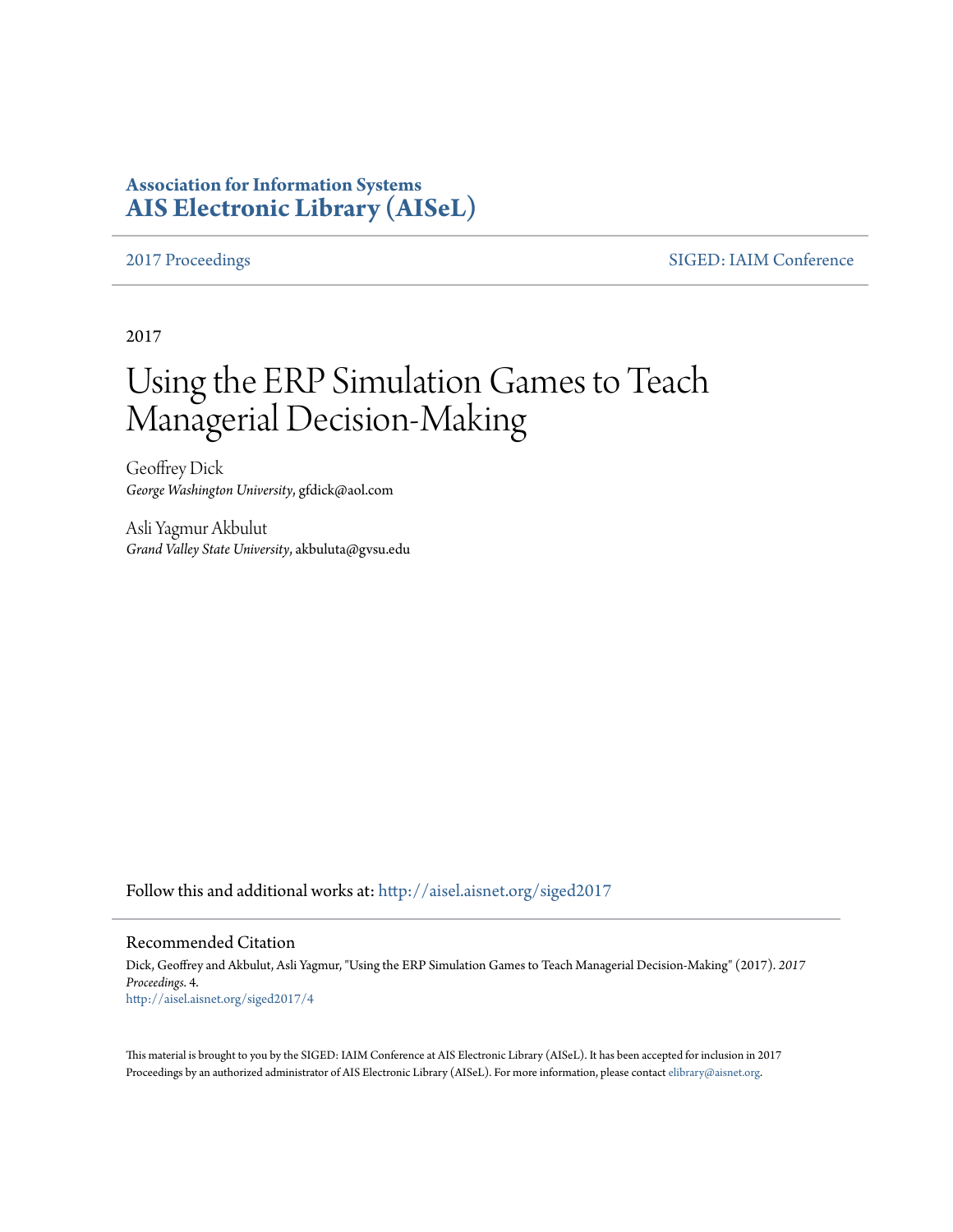# **Association for Information Systems [AIS Electronic Library \(AISeL\)](http://aisel.aisnet.org?utm_source=aisel.aisnet.org%2Fsiged2017%2F4&utm_medium=PDF&utm_campaign=PDFCoverPages)**

[2017 Proceedings](http://aisel.aisnet.org/siged2017?utm_source=aisel.aisnet.org%2Fsiged2017%2F4&utm_medium=PDF&utm_campaign=PDFCoverPages) [SIGED: IAIM Conference](http://aisel.aisnet.org/siged?utm_source=aisel.aisnet.org%2Fsiged2017%2F4&utm_medium=PDF&utm_campaign=PDFCoverPages)

2017

# Using the ERP Simulation Games to Teach Managerial Decision-Making

Geoffrey Dick *George Washington University*, gfdick@aol.com

Asli Yagmur Akbulut *Grand Valley State University*, akbuluta@gvsu.edu

Follow this and additional works at: [http://aisel.aisnet.org/siged2017](http://aisel.aisnet.org/siged2017?utm_source=aisel.aisnet.org%2Fsiged2017%2F4&utm_medium=PDF&utm_campaign=PDFCoverPages)

#### Recommended Citation

Dick, Geoffrey and Akbulut, Asli Yagmur, "Using the ERP Simulation Games to Teach Managerial Decision-Making" (2017). *2017 Proceedings*. 4. [http://aisel.aisnet.org/siged2017/4](http://aisel.aisnet.org/siged2017/4?utm_source=aisel.aisnet.org%2Fsiged2017%2F4&utm_medium=PDF&utm_campaign=PDFCoverPages)

This material is brought to you by the SIGED: IAIM Conference at AIS Electronic Library (AISeL). It has been accepted for inclusion in 2017 Proceedings by an authorized administrator of AIS Electronic Library (AISeL). For more information, please contact [elibrary@aisnet.org](mailto:elibrary@aisnet.org%3E).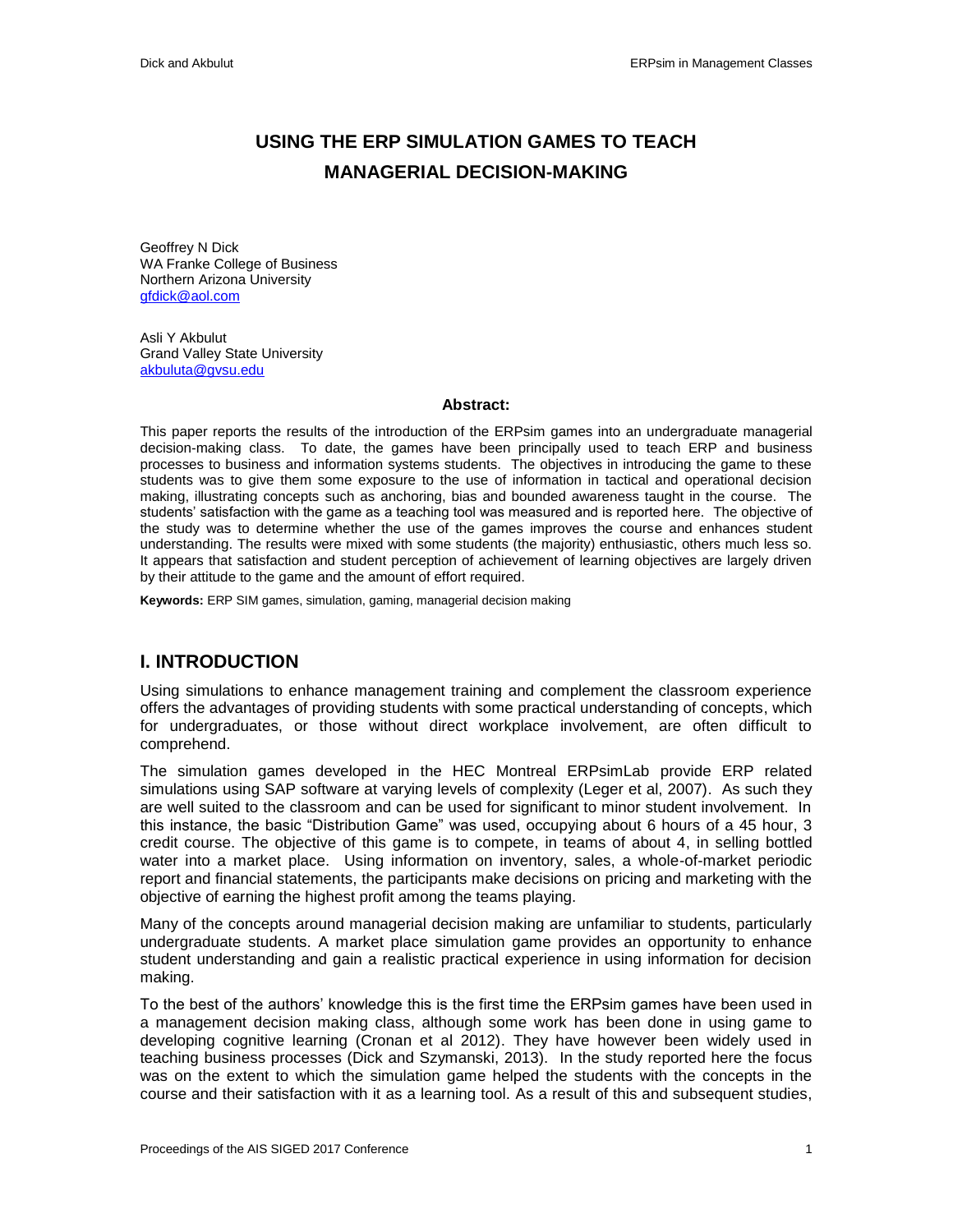# **USING THE ERP SIMULATION GAMES TO TEACH MANAGERIAL DECISION-MAKING**

Geoffrey N Dick WA Franke College of Business Northern Arizona University [gfdick@aol.com](mailto:gfdick@aol.com)

Asli Y Akbulut Grand Valley State University [akbuluta@gvsu.edu](mailto:akbuluta@gvsu.edu)

#### **Abstract:**

This paper reports the results of the introduction of the ERPsim games into an undergraduate managerial decision-making class. To date, the games have been principally used to teach ERP and business processes to business and information systems students. The objectives in introducing the game to these students was to give them some exposure to the use of information in tactical and operational decision making, illustrating concepts such as anchoring, bias and bounded awareness taught in the course. The students' satisfaction with the game as a teaching tool was measured and is reported here. The objective of the study was to determine whether the use of the games improves the course and enhances student understanding. The results were mixed with some students (the majority) enthusiastic, others much less so. It appears that satisfaction and student perception of achievement of learning objectives are largely driven by their attitude to the game and the amount of effort required.

**Keywords:** ERP SIM games, simulation, gaming, managerial decision making

# **I. INTRODUCTION**

Using simulations to enhance management training and complement the classroom experience offers the advantages of providing students with some practical understanding of concepts, which for undergraduates, or those without direct workplace involvement, are often difficult to comprehend.

The simulation games developed in the HEC Montreal ERPsimLab provide ERP related simulations using SAP software at varying levels of complexity (Leger et al, 2007). As such they are well suited to the classroom and can be used for significant to minor student involvement. In this instance, the basic "Distribution Game" was used, occupying about 6 hours of a 45 hour, 3 credit course. The objective of this game is to compete, in teams of about 4, in selling bottled water into a market place. Using information on inventory, sales, a whole-of-market periodic report and financial statements, the participants make decisions on pricing and marketing with the objective of earning the highest profit among the teams playing.

Many of the concepts around managerial decision making are unfamiliar to students, particularly undergraduate students. A market place simulation game provides an opportunity to enhance student understanding and gain a realistic practical experience in using information for decision making.

To the best of the authors' knowledge this is the first time the ERPsim games have been used in a management decision making class, although some work has been done in using game to developing cognitive learning (Cronan et al 2012). They have however been widely used in teaching business processes (Dick and Szymanski, 2013). In the study reported here the focus was on the extent to which the simulation game helped the students with the concepts in the course and their satisfaction with it as a learning tool. As a result of this and subsequent studies,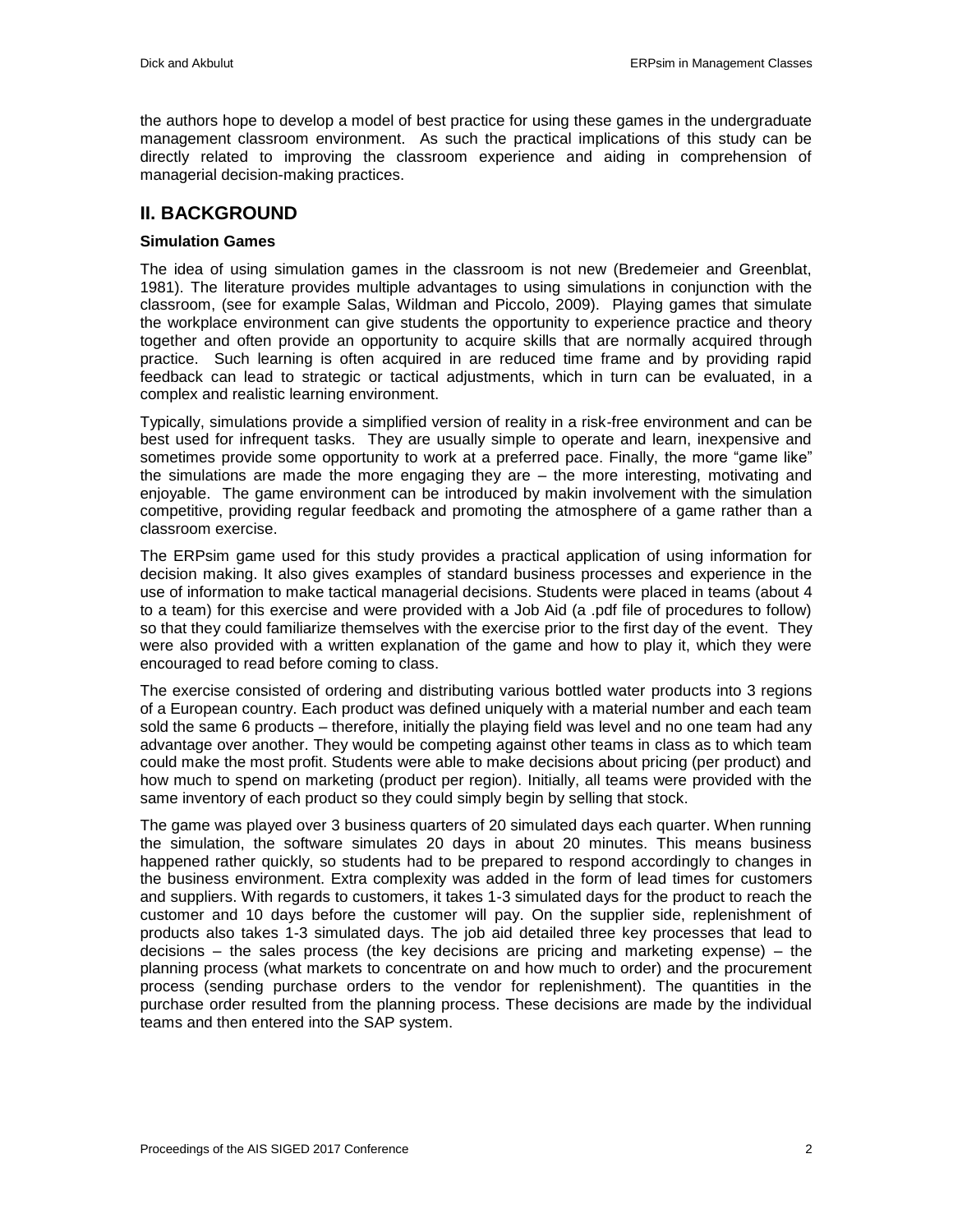the authors hope to develop a model of best practice for using these games in the undergraduate management classroom environment. As such the practical implications of this study can be directly related to improving the classroom experience and aiding in comprehension of managerial decision-making practices.

### **II. BACKGROUND**

#### **Simulation Games**

The idea of using simulation games in the classroom is not new (Bredemeier and Greenblat, 1981). The literature provides multiple advantages to using simulations in conjunction with the classroom, (see for example Salas, Wildman and Piccolo, 2009). Playing games that simulate the workplace environment can give students the opportunity to experience practice and theory together and often provide an opportunity to acquire skills that are normally acquired through practice. Such learning is often acquired in are reduced time frame and by providing rapid feedback can lead to strategic or tactical adjustments, which in turn can be evaluated, in a complex and realistic learning environment.

Typically, simulations provide a simplified version of reality in a risk-free environment and can be best used for infrequent tasks. They are usually simple to operate and learn, inexpensive and sometimes provide some opportunity to work at a preferred pace. Finally, the more "game like" the simulations are made the more engaging they are – the more interesting, motivating and enjoyable. The game environment can be introduced by makin involvement with the simulation competitive, providing regular feedback and promoting the atmosphere of a game rather than a classroom exercise.

The ERPsim game used for this study provides a practical application of using information for decision making. It also gives examples of standard business processes and experience in the use of information to make tactical managerial decisions. Students were placed in teams (about 4 to a team) for this exercise and were provided with a Job Aid (a .pdf file of procedures to follow) so that they could familiarize themselves with the exercise prior to the first day of the event. They were also provided with a written explanation of the game and how to play it, which they were encouraged to read before coming to class.

The exercise consisted of ordering and distributing various bottled water products into 3 regions of a European country. Each product was defined uniquely with a material number and each team sold the same 6 products – therefore, initially the playing field was level and no one team had any advantage over another. They would be competing against other teams in class as to which team could make the most profit. Students were able to make decisions about pricing (per product) and how much to spend on marketing (product per region). Initially, all teams were provided with the same inventory of each product so they could simply begin by selling that stock.

The game was played over 3 business quarters of 20 simulated days each quarter. When running the simulation, the software simulates 20 days in about 20 minutes. This means business happened rather quickly, so students had to be prepared to respond accordingly to changes in the business environment. Extra complexity was added in the form of lead times for customers and suppliers. With regards to customers, it takes 1-3 simulated days for the product to reach the customer and 10 days before the customer will pay. On the supplier side, replenishment of products also takes 1-3 simulated days. The job aid detailed three key processes that lead to decisions – the sales process (the key decisions are pricing and marketing expense) – the planning process (what markets to concentrate on and how much to order) and the procurement process (sending purchase orders to the vendor for replenishment). The quantities in the purchase order resulted from the planning process. These decisions are made by the individual teams and then entered into the SAP system.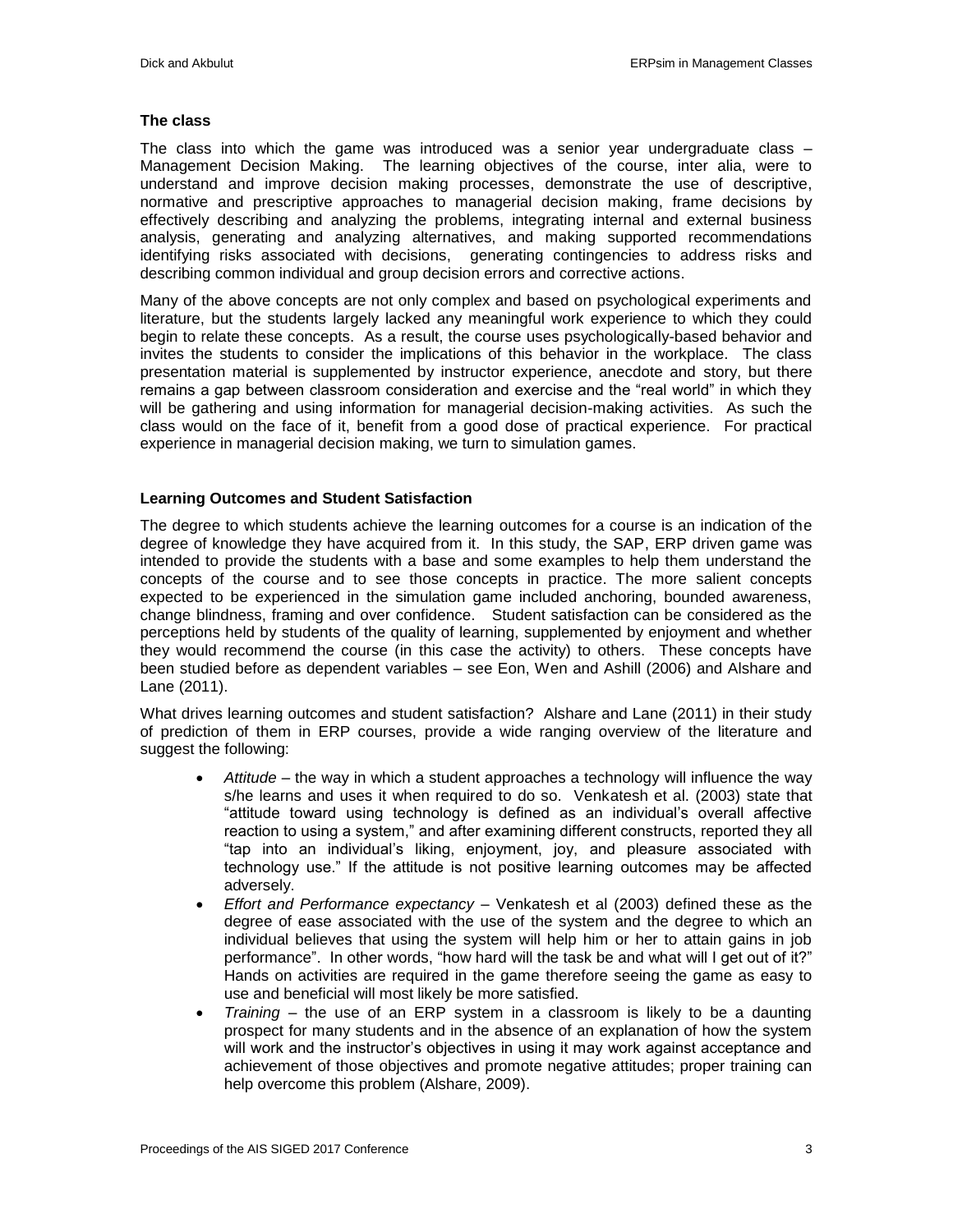#### **The class**

The class into which the game was introduced was a senior year undergraduate class – Management Decision Making. The learning objectives of the course, inter alia, were to understand and improve decision making processes, demonstrate the use of descriptive, normative and prescriptive approaches to managerial decision making, frame decisions by effectively describing and analyzing the problems, integrating internal and external business analysis, generating and analyzing alternatives, and making supported recommendations identifying risks associated with decisions, generating contingencies to address risks and describing common individual and group decision errors and corrective actions.

Many of the above concepts are not only complex and based on psychological experiments and literature, but the students largely lacked any meaningful work experience to which they could begin to relate these concepts. As a result, the course uses psychologically-based behavior and invites the students to consider the implications of this behavior in the workplace. The class presentation material is supplemented by instructor experience, anecdote and story, but there remains a gap between classroom consideration and exercise and the "real world" in which they will be gathering and using information for managerial decision-making activities. As such the class would on the face of it, benefit from a good dose of practical experience. For practical experience in managerial decision making, we turn to simulation games.

#### **Learning Outcomes and Student Satisfaction**

The degree to which students achieve the learning outcomes for a course is an indication of the degree of knowledge they have acquired from it. In this study, the SAP, ERP driven game was intended to provide the students with a base and some examples to help them understand the concepts of the course and to see those concepts in practice. The more salient concepts expected to be experienced in the simulation game included anchoring, bounded awareness, change blindness, framing and over confidence. Student satisfaction can be considered as the perceptions held by students of the quality of learning, supplemented by enjoyment and whether they would recommend the course (in this case the activity) to others. These concepts have been studied before as dependent variables – see Eon, Wen and Ashill (2006) and Alshare and Lane (2011).

What drives learning outcomes and student satisfaction? Alshare and Lane (2011) in their study of prediction of them in ERP courses, provide a wide ranging overview of the literature and suggest the following:

- *Attitude* the way in which a student approaches a technology will influence the way s/he learns and uses it when required to do so. Venkatesh et al. (2003) state that "attitude toward using technology is defined as an individual's overall affective reaction to using a system," and after examining different constructs, reported they all "tap into an individual's liking, enjoyment, joy, and pleasure associated with technology use." If the attitude is not positive learning outcomes may be affected adversely.
- *Effort and Performance expectancy*  Venkatesh et al (2003) defined these as the degree of ease associated with the use of the system and the degree to which an individual believes that using the system will help him or her to attain gains in job performance". In other words, "how hard will the task be and what will I get out of it?" Hands on activities are required in the game therefore seeing the game as easy to use and beneficial will most likely be more satisfied.
- *Training*  the use of an ERP system in a classroom is likely to be a daunting prospect for many students and in the absence of an explanation of how the system will work and the instructor's objectives in using it may work against acceptance and achievement of those objectives and promote negative attitudes; proper training can help overcome this problem (Alshare, 2009).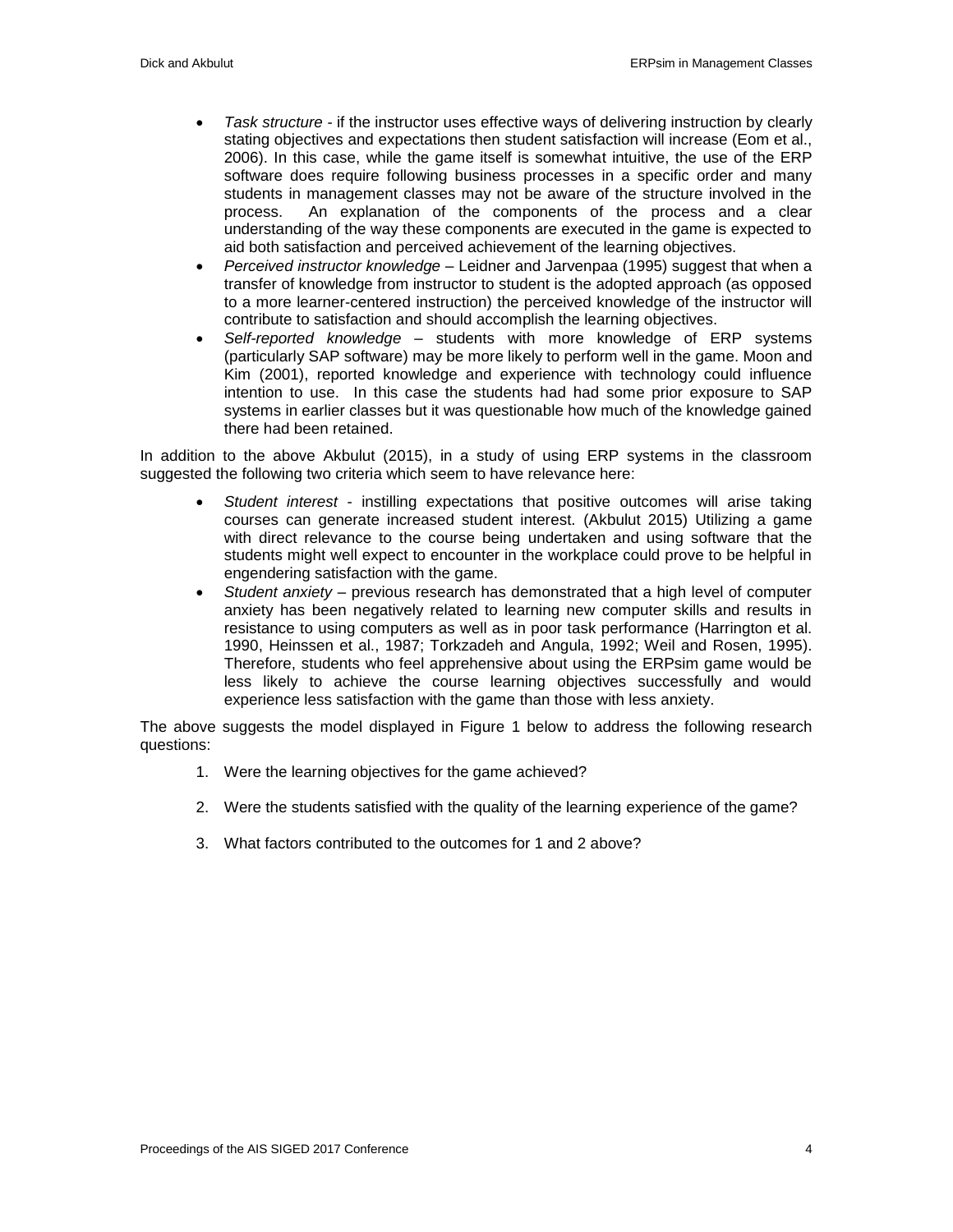- *Task structure* if the instructor uses effective ways of delivering instruction by clearly stating objectives and expectations then student satisfaction will increase (Eom et al., 2006). In this case, while the game itself is somewhat intuitive, the use of the ERP software does require following business processes in a specific order and many students in management classes may not be aware of the structure involved in the process. An explanation of the components of the process and a clear understanding of the way these components are executed in the game is expected to aid both satisfaction and perceived achievement of the learning objectives.
- *Perceived instructor knowledge*  Leidner and Jarvenpaa (1995) suggest that when a transfer of knowledge from instructor to student is the adopted approach (as opposed to a more learner-centered instruction) the perceived knowledge of the instructor will contribute to satisfaction and should accomplish the learning objectives.
- *Self-reported knowledge* students with more knowledge of ERP systems (particularly SAP software) may be more likely to perform well in the game. Moon and Kim (2001), reported knowledge and experience with technology could influence intention to use. In this case the students had had some prior exposure to SAP systems in earlier classes but it was questionable how much of the knowledge gained there had been retained.

In addition to the above Akbulut (2015), in a study of using ERP systems in the classroom suggested the following two criteria which seem to have relevance here:

- *Student interest*  instilling expectations that positive outcomes will arise taking courses can generate increased student interest. (Akbulut 2015) Utilizing a game with direct relevance to the course being undertaken and using software that the students might well expect to encounter in the workplace could prove to be helpful in engendering satisfaction with the game.
- *Student anxiety*  previous research has demonstrated that a high level of computer anxiety has been negatively related to learning new computer skills and results in resistance to using computers as well as in poor task performance (Harrington et al. 1990, Heinssen et al., 1987; Torkzadeh and Angula, 1992; Weil and Rosen, 1995). Therefore, students who feel apprehensive about using the ERPsim game would be less likely to achieve the course learning objectives successfully and would experience less satisfaction with the game than those with less anxiety.

The above suggests the model displayed in Figure 1 below to address the following research questions:

- 1. Were the learning objectives for the game achieved?
- 2. Were the students satisfied with the quality of the learning experience of the game?
- 3. What factors contributed to the outcomes for 1 and 2 above?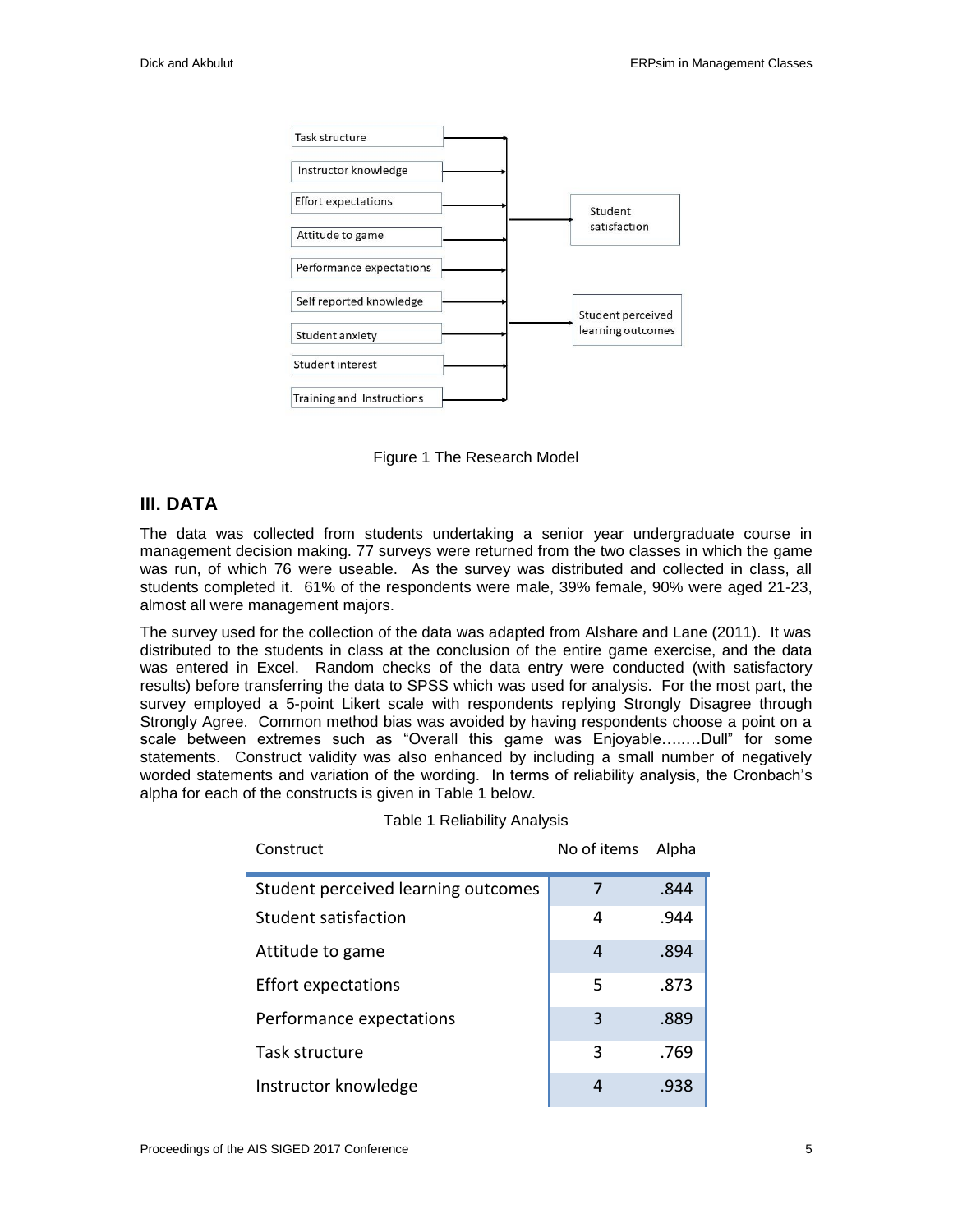

Figure 1 The Research Model

# **III. DATA**

The data was collected from students undertaking a senior year undergraduate course in management decision making. 77 surveys were returned from the two classes in which the game was run, of which 76 were useable. As the survey was distributed and collected in class, all students completed it. 61% of the respondents were male, 39% female, 90% were aged 21-23, almost all were management majors.

The survey used for the collection of the data was adapted from Alshare and Lane (2011). It was distributed to the students in class at the conclusion of the entire game exercise, and the data was entered in Excel. Random checks of the data entry were conducted (with satisfactory results) before transferring the data to SPSS which was used for analysis. For the most part, the survey employed a 5-point Likert scale with respondents replying Strongly Disagree through Strongly Agree. Common method bias was avoided by having respondents choose a point on a scale between extremes such as "Overall this game was Enjoyable…..…Dull" for some statements. Construct validity was also enhanced by including a small number of negatively worded statements and variation of the wording. In terms of reliability analysis, the Cronbach's alpha for each of the constructs is given in Table 1 below.

| Construct                           | No of items | Alpha |
|-------------------------------------|-------------|-------|
| Student perceived learning outcomes | 7           | .844  |
| Student satisfaction                | 4           | .944  |
| Attitude to game                    | 4           | .894  |
| <b>Effort expectations</b>          | 5           | .873  |
| Performance expectations            | 3           | .889  |
| Task structure                      | 3           | .769  |
| Instructor knowledge                | 4           | .938  |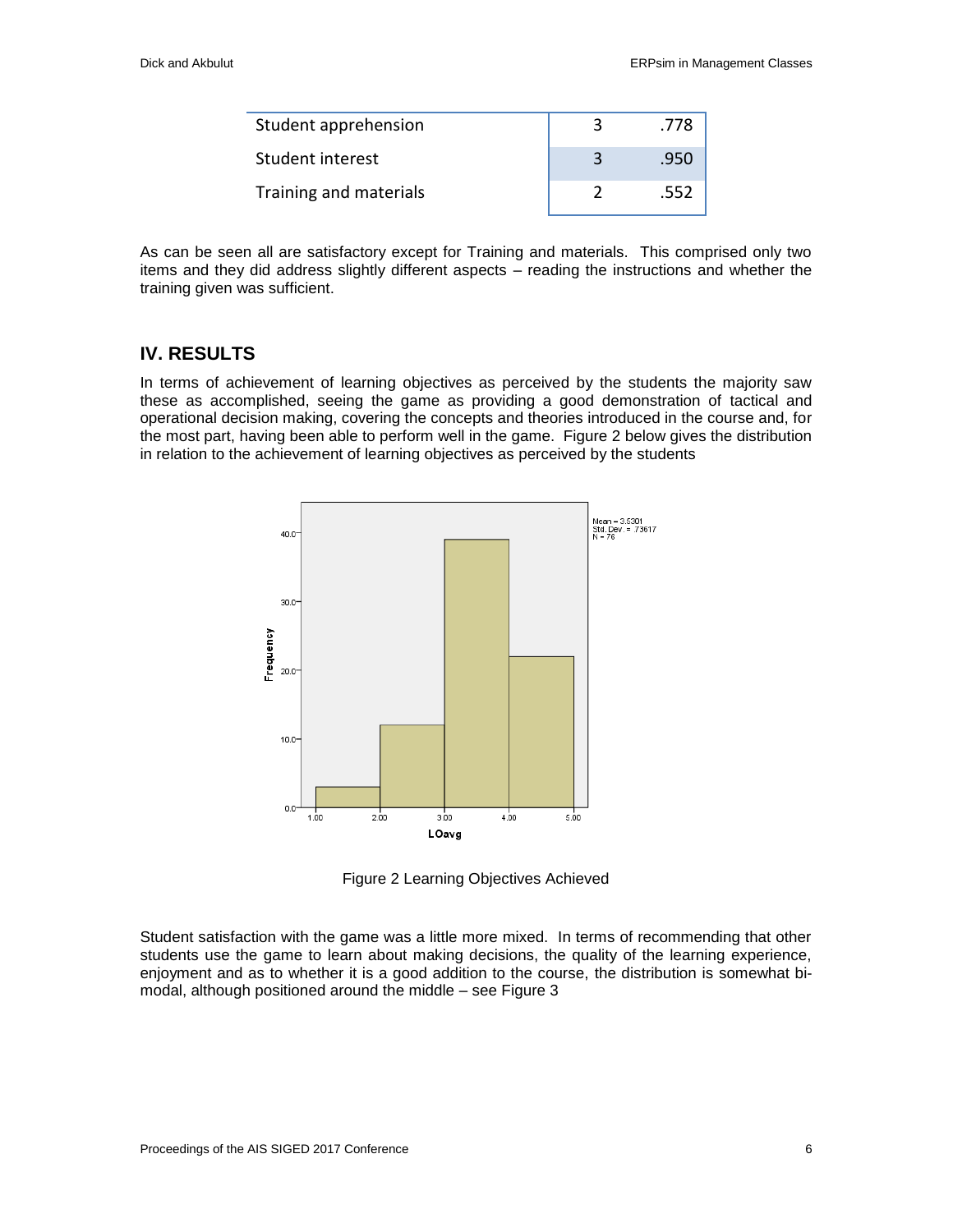| Student apprehension   | .778 |
|------------------------|------|
| Student interest       | .950 |
| Training and materials | .552 |

As can be seen all are satisfactory except for Training and materials. This comprised only two items and they did address slightly different aspects – reading the instructions and whether the training given was sufficient.

## **IV. RESULTS**

In terms of achievement of learning objectives as perceived by the students the majority saw these as accomplished, seeing the game as providing a good demonstration of tactical and operational decision making, covering the concepts and theories introduced in the course and, for the most part, having been able to perform well in the game. Figure 2 below gives the distribution in relation to the achievement of learning objectives as perceived by the students



Figure 2 Learning Objectives Achieved

Student satisfaction with the game was a little more mixed. In terms of recommending that other students use the game to learn about making decisions, the quality of the learning experience, enjoyment and as to whether it is a good addition to the course, the distribution is somewhat bimodal, although positioned around the middle – see Figure 3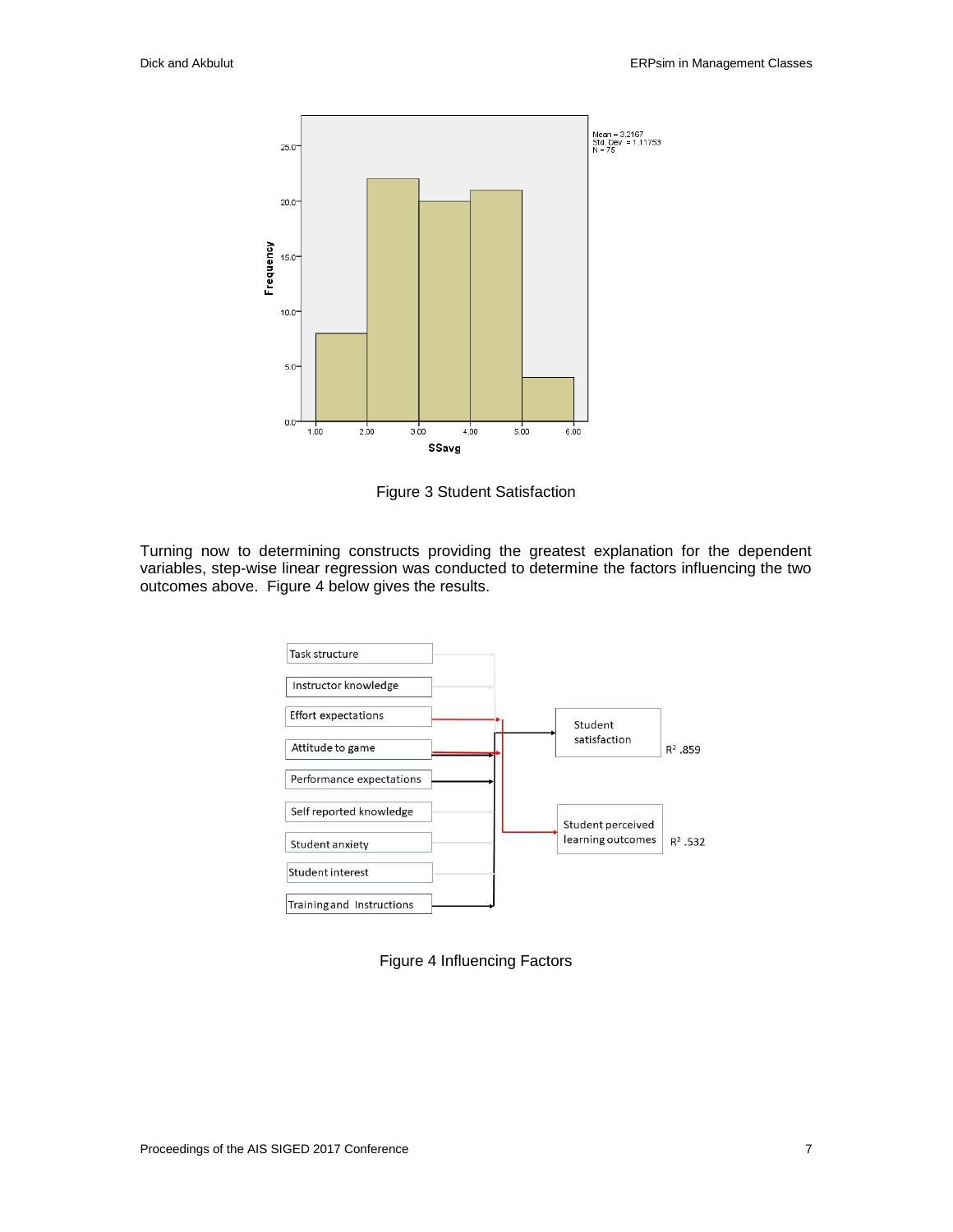

Figure 3 Student Satisfaction

Turning now to determining constructs providing the greatest explanation for the dependent variables, step-wise linear regression was conducted to determine the factors influencing the two outcomes above. Figure 4 below gives the results.



Figure 4 Influencing Factors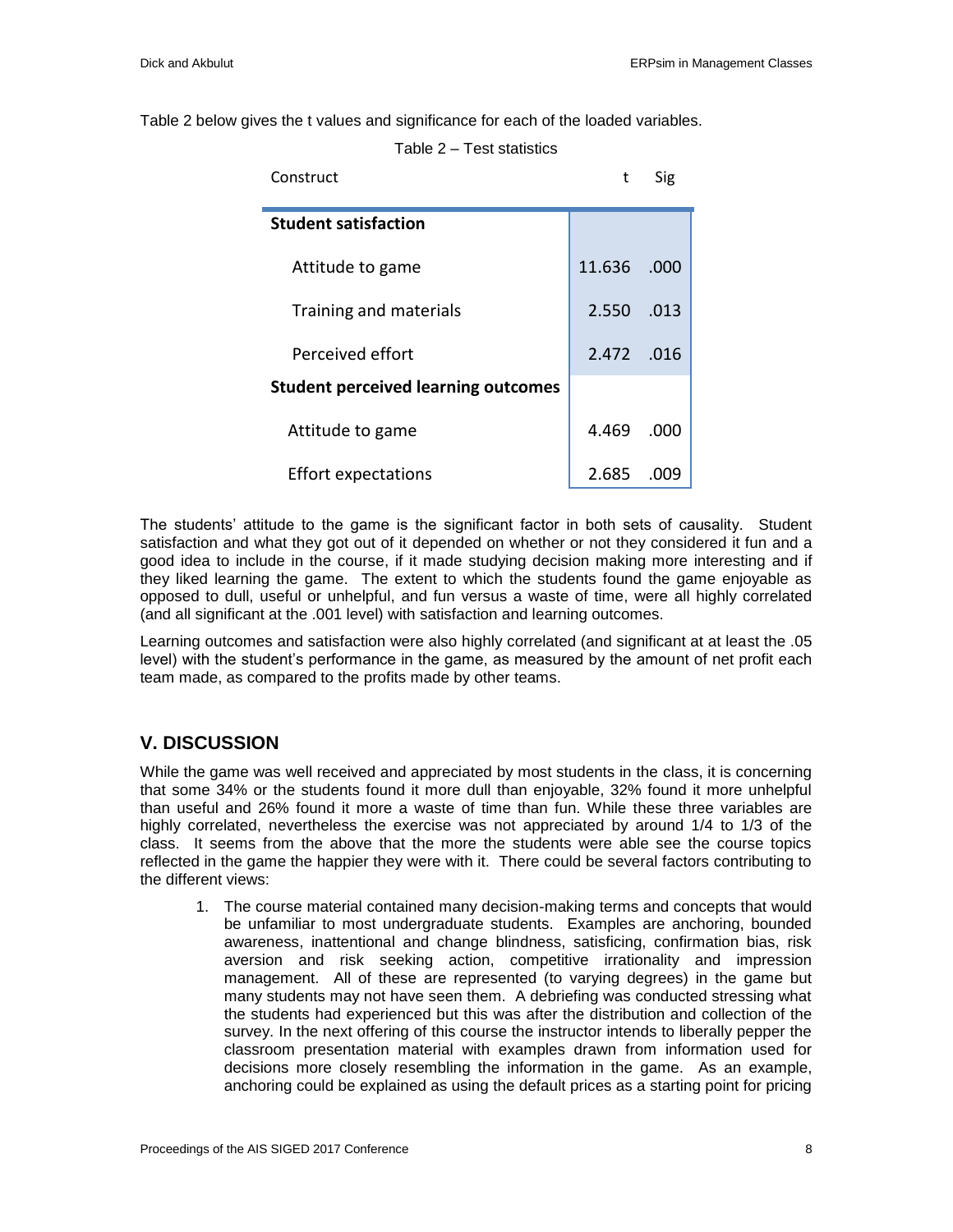Table 2 below gives the t values and significance for each of the loaded variables.

Table 2 – Test statistics

| Construct                                  | t          | Sig  |
|--------------------------------------------|------------|------|
| <b>Student satisfaction</b>                |            |      |
| Attitude to game                           | 11.636     | .000 |
| Training and materials                     | 2.550      | .013 |
| Perceived effort                           | 2.472 .016 |      |
| <b>Student perceived learning outcomes</b> |            |      |
| Attitude to game                           | 4.469      | .000 |
| <b>Effort expectations</b>                 | 2.685      |      |

The students' attitude to the game is the significant factor in both sets of causality. Student satisfaction and what they got out of it depended on whether or not they considered it fun and a good idea to include in the course, if it made studying decision making more interesting and if they liked learning the game. The extent to which the students found the game enjoyable as opposed to dull, useful or unhelpful, and fun versus a waste of time, were all highly correlated (and all significant at the .001 level) with satisfaction and learning outcomes.

Learning outcomes and satisfaction were also highly correlated (and significant at at least the .05 level) with the student's performance in the game, as measured by the amount of net profit each team made, as compared to the profits made by other teams.

# **V. DISCUSSION**

While the game was well received and appreciated by most students in the class, it is concerning that some 34% or the students found it more dull than enjoyable, 32% found it more unhelpful than useful and 26% found it more a waste of time than fun. While these three variables are highly correlated, nevertheless the exercise was not appreciated by around 1/4 to 1/3 of the class. It seems from the above that the more the students were able see the course topics reflected in the game the happier they were with it. There could be several factors contributing to the different views:

1. The course material contained many decision-making terms and concepts that would be unfamiliar to most undergraduate students. Examples are anchoring, bounded awareness, inattentional and change blindness, satisficing, confirmation bias, risk aversion and risk seeking action, competitive irrationality and impression management. All of these are represented (to varying degrees) in the game but many students may not have seen them. A debriefing was conducted stressing what the students had experienced but this was after the distribution and collection of the survey. In the next offering of this course the instructor intends to liberally pepper the classroom presentation material with examples drawn from information used for decisions more closely resembling the information in the game. As an example, anchoring could be explained as using the default prices as a starting point for pricing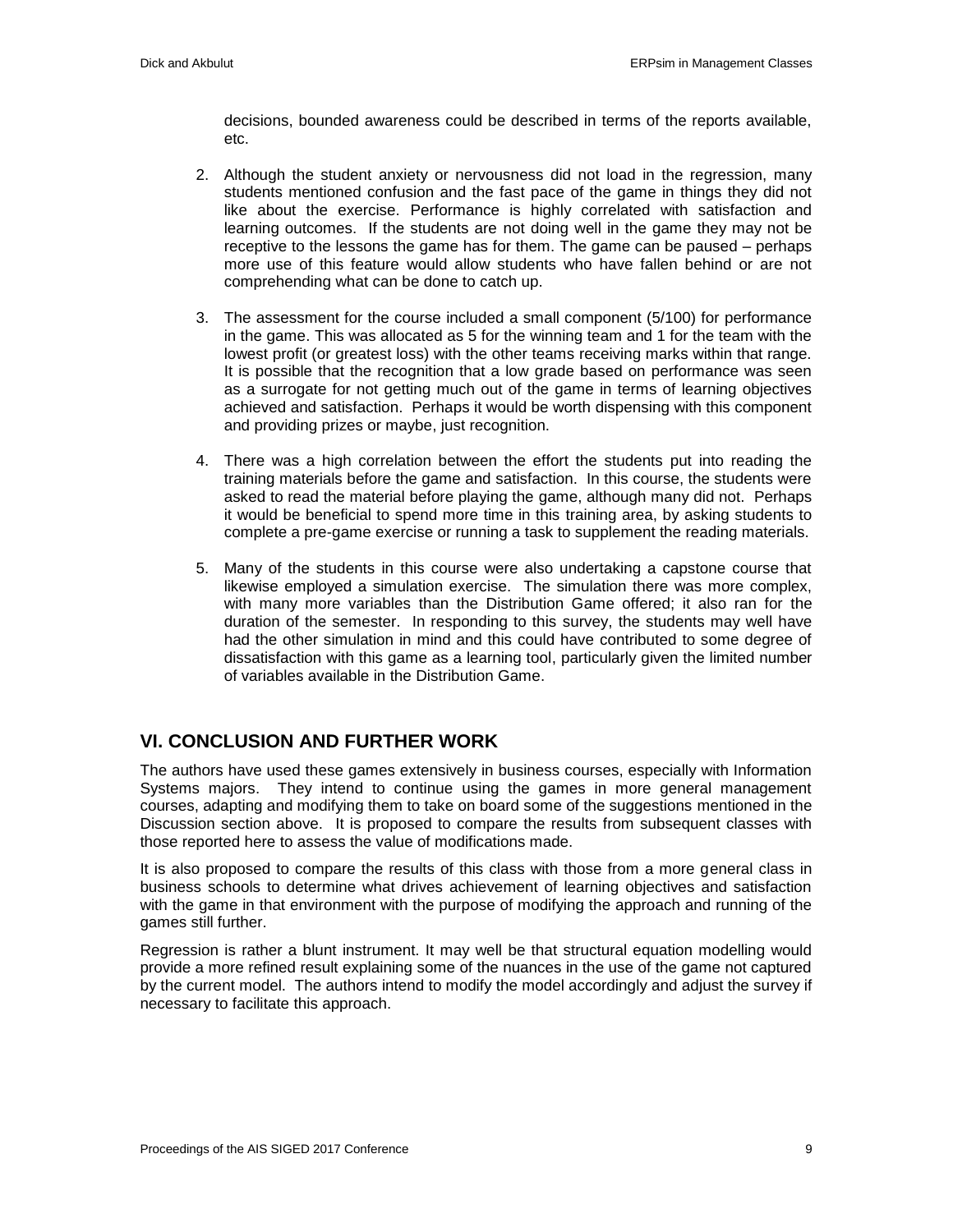decisions, bounded awareness could be described in terms of the reports available, etc.

- 2. Although the student anxiety or nervousness did not load in the regression, many students mentioned confusion and the fast pace of the game in things they did not like about the exercise. Performance is highly correlated with satisfaction and learning outcomes. If the students are not doing well in the game they may not be receptive to the lessons the game has for them. The game can be paused – perhaps more use of this feature would allow students who have fallen behind or are not comprehending what can be done to catch up.
- 3. The assessment for the course included a small component (5/100) for performance in the game. This was allocated as 5 for the winning team and 1 for the team with the lowest profit (or greatest loss) with the other teams receiving marks within that range. It is possible that the recognition that a low grade based on performance was seen as a surrogate for not getting much out of the game in terms of learning objectives achieved and satisfaction. Perhaps it would be worth dispensing with this component and providing prizes or maybe, just recognition.
- 4. There was a high correlation between the effort the students put into reading the training materials before the game and satisfaction. In this course, the students were asked to read the material before playing the game, although many did not. Perhaps it would be beneficial to spend more time in this training area, by asking students to complete a pre-game exercise or running a task to supplement the reading materials.
- 5. Many of the students in this course were also undertaking a capstone course that likewise employed a simulation exercise. The simulation there was more complex, with many more variables than the Distribution Game offered; it also ran for the duration of the semester. In responding to this survey, the students may well have had the other simulation in mind and this could have contributed to some degree of dissatisfaction with this game as a learning tool, particularly given the limited number of variables available in the Distribution Game.

# **VI. CONCLUSION AND FURTHER WORK**

The authors have used these games extensively in business courses, especially with Information Systems majors. They intend to continue using the games in more general management courses, adapting and modifying them to take on board some of the suggestions mentioned in the Discussion section above. It is proposed to compare the results from subsequent classes with those reported here to assess the value of modifications made.

It is also proposed to compare the results of this class with those from a more general class in business schools to determine what drives achievement of learning objectives and satisfaction with the game in that environment with the purpose of modifying the approach and running of the games still further.

Regression is rather a blunt instrument. It may well be that structural equation modelling would provide a more refined result explaining some of the nuances in the use of the game not captured by the current model. The authors intend to modify the model accordingly and adjust the survey if necessary to facilitate this approach.